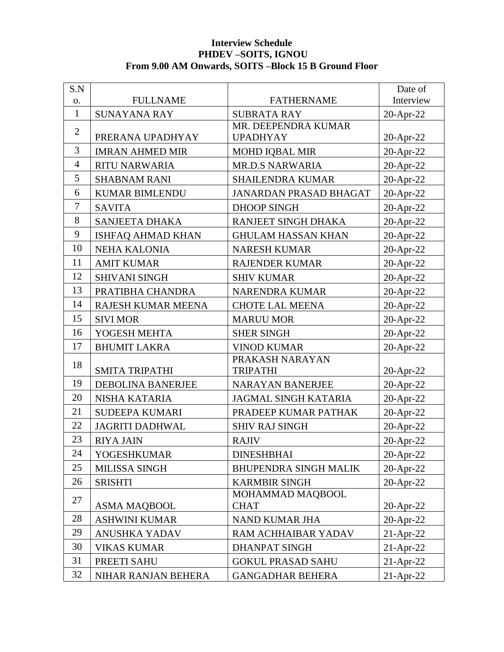## **Interview Schedule PHDEV –SOITS, IGNOU From 9.00 AM Onwards, SOITS –Block 15 B Ground Floor**

| S.N            |                          |                               | Date of      |
|----------------|--------------------------|-------------------------------|--------------|
| O.             | <b>FULLNAME</b>          | <b>FATHERNAME</b>             | Interview    |
| $\mathbf{1}$   | <b>SUNAYANA RAY</b>      | <b>SUBRATA RAY</b>            | 20-Apr-22    |
| $\overline{2}$ |                          | MR. DEEPENDRA KUMAR           |              |
|                | PRERANA UPADHYAY         | <b>UPADHYAY</b>               | 20-Apr-22    |
| 3              | <b>IMRAN AHMED MIR</b>   | <b>MOHD IQBAL MIR</b>         | 20-Apr-22    |
| $\overline{4}$ | <b>RITU NARWARIA</b>     | <b>MR.D.S NARWARIA</b>        | 20-Apr-22    |
| 5              | <b>SHABNAM RANI</b>      | <b>SHAILENDRA KUMAR</b>       | 20-Apr-22    |
| 6              | <b>KUMAR BIMLENDU</b>    | <b>JANARDAN PRASAD BHAGAT</b> | 20-Apr-22    |
| 7              | <b>SAVITA</b>            | <b>DHOOP SINGH</b>            | 20-Apr-22    |
| 8              | <b>SANJEETA DHAKA</b>    | RANJEET SINGH DHAKA           | 20-Apr-22    |
| 9              | <b>ISHFAQ AHMAD KHAN</b> | <b>GHULAM HASSAN KHAN</b>     | 20-Apr-22    |
| 10             | <b>NEHA KALONIA</b>      | <b>NARESH KUMAR</b>           | 20-Apr-22    |
| 11             | <b>AMIT KUMAR</b>        | <b>RAJENDER KUMAR</b>         | 20-Apr-22    |
| 12             | <b>SHIVANI SINGH</b>     | <b>SHIV KUMAR</b>             | 20-Apr-22    |
| 13             | PRATIBHA CHANDRA         | <b>NARENDRA KUMAR</b>         | 20-Apr-22    |
| 14             | RAJESH KUMAR MEENA       | <b>CHOTE LAL MEENA</b>        | 20-Apr-22    |
| 15             | <b>SIVI MOR</b>          | <b>MARUU MOR</b>              | 20-Apr-22    |
| 16             | YOGESH MEHTA             | <b>SHER SINGH</b>             | 20-Apr-22    |
| 17             | <b>BHUMIT LAKRA</b>      | <b>VINOD KUMAR</b>            | 20-Apr-22    |
| 18             |                          | PRAKASH NARAYAN               |              |
|                | <b>SMITA TRIPATHI</b>    | <b>TRIPATHI</b>               | 20-Apr-22    |
| 19             | <b>DEBOLINA BANERJEE</b> | <b>NARAYAN BANERJEE</b>       | 20-Apr-22    |
| 20             | NISHA KATARIA            | <b>JAGMAL SINGH KATARIA</b>   | 20-Apr-22    |
| 21             | SUDEEPA KUMARI           | PRADEEP KUMAR PATHAK          | 20-Apr-22    |
| 22             | <b>JAGRITI DADHWAL</b>   | <b>SHIV RAJ SINGH</b>         | 20-Apr-22    |
| 23             | <b>RIYA JAIN</b>         | <b>RAJIV</b>                  | 20-Apr-22    |
| 24             | YOGESHKUMAR              | <b>DINESHBHAI</b>             | $20$ -Apr-22 |
| 25             | <b>MILISSA SINGH</b>     | <b>BHUPENDRA SINGH MALIK</b>  | 20-Apr-22    |
| 26             | <b>SRISHTI</b>           | <b>KARMBIR SINGH</b>          | 20-Apr-22    |
| 27             |                          | MOHAMMAD MAQBOOL              |              |
|                | <b>ASMA MAQBOOL</b>      | <b>CHAT</b>                   | $20$ -Apr-22 |
| 28             | <b>ASHWINI KUMAR</b>     | NAND KUMAR JHA                | 20-Apr-22    |
| 29             | <b>ANUSHKA YADAV</b>     | RAM ACHHAIBAR YADAV           | $21-Apr-22$  |
| 30             | <b>VIKAS KUMAR</b>       | <b>DHANPAT SINGH</b>          | $21-Apr-22$  |
| 31             | PREETI SAHU              | <b>GOKUL PRASAD SAHU</b>      | $21-Apr-22$  |
| 32             | NIHAR RANJAN BEHERA      | <b>GANGADHAR BEHERA</b>       | $21-Apr-22$  |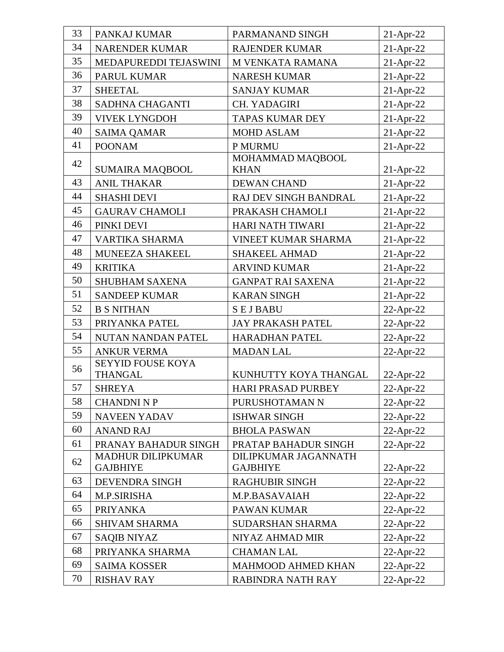| 33<br>34 | PANKAJ KUMAR             | PARMANAND SINGH            | 21-Apr-22    |
|----------|--------------------------|----------------------------|--------------|
| 35       | NARENDER KUMAR           | <b>RAJENDER KUMAR</b>      | $21-Apr-22$  |
|          | MEDAPUREDDI TEJASWINI    | M VENKATA RAMANA           | 21-Apr-22    |
| 36       | PARUL KUMAR              | <b>NARESH KUMAR</b>        | 21-Apr-22    |
| 37       | <b>SHEETAL</b>           | <b>SANJAY KUMAR</b>        | 21-Apr-22    |
| 38       | SADHNA CHAGANTI          | CH. YADAGIRI               | 21-Apr-22    |
| 39       | <b>VIVEK LYNGDOH</b>     | <b>TAPAS KUMAR DEY</b>     | 21-Apr-22    |
| 40       | <b>SAIMA QAMAR</b>       | <b>MOHD ASLAM</b>          | 21-Apr-22    |
| 41       | <b>POONAM</b>            | P MURMU                    | $21-Apr-22$  |
| 42       |                          | MOHAMMAD MAQBOOL           |              |
|          | <b>SUMAIRA MAQBOOL</b>   | <b>KHAN</b>                | $21-Apr-22$  |
| 43       | <b>ANIL THAKAR</b>       | <b>DEWAN CHAND</b>         | 21-Apr-22    |
| 44       | <b>SHASHI DEVI</b>       | RAJ DEV SINGH BANDRAL      | 21-Apr-22    |
| 45       | <b>GAURAV CHAMOLI</b>    | PRAKASH CHAMOLI            | 21-Apr-22    |
| 46       | PINKI DEVI               | <b>HARI NATH TIWARI</b>    | $21-Apr-22$  |
| 47       | VARTIKA SHARMA           | <b>VINEET KUMAR SHARMA</b> | 21-Apr-22    |
| 48       | MUNEEZA SHAKEEL          | <b>SHAKEEL AHMAD</b>       | 21-Apr-22    |
| 49       | <b>KRITIKA</b>           | <b>ARVIND KUMAR</b>        | 21-Apr-22    |
| 50       | <b>SHUBHAM SAXENA</b>    | <b>GANPAT RAI SAXENA</b>   | 21-Apr-22    |
| 51       | <b>SANDEEP KUMAR</b>     | <b>KARAN SINGH</b>         | $21-Apr-22$  |
| 52       | <b>B S NITHAN</b>        | <b>SEJBABU</b>             | $22$ -Apr-22 |
| 53       | PRIYANKA PATEL           | <b>JAY PRAKASH PATEL</b>   | 22-Apr-22    |
| 54       | NUTAN NANDAN PATEL       | <b>HARADHAN PATEL</b>      | 22-Apr-22    |
| 55       | <b>ANKUR VERMA</b>       | <b>MADAN LAL</b>           | $22$ -Apr-22 |
| 56       | <b>SEYYID FOUSE KOYA</b> |                            |              |
|          | <b>THANGAL</b>           | KUNHUTTY KOYA THANGAL      | 22-Apr-22    |
| 57       | <b>SHREYA</b>            | <b>HARI PRASAD PURBEY</b>  | 22-Apr-22    |
| 58       | <b>CHANDNI N P</b>       | PURUSHOTAMAN N             | 22-Apr-22    |
| 59       | <b>NAVEEN YADAV</b>      | <b>ISHWAR SINGH</b>        | 22-Apr-22    |
| 60       | <b>ANAND RAJ</b>         | <b>BHOLA PASWAN</b>        | $22$ -Apr-22 |
| 61       | PRANAY BAHADUR SINGH     | PRATAP BAHADUR SINGH       | 22-Apr-22    |
| 62       | <b>MADHUR DILIPKUMAR</b> | DILIPKUMAR JAGANNATH       |              |
|          | <b>GAJBHIYE</b>          | <b>GAJBHIYE</b>            | $22$ -Apr-22 |
| 63       | DEVENDRA SINGH           | <b>RAGHUBIR SINGH</b>      | $22$ -Apr-22 |
| 64       | M.P.SIRISHA              | M.P.BASAVAIAH              | 22-Apr-22    |
| 65       | <b>PRIYANKA</b>          | PAWAN KUMAR                | $22$ -Apr-22 |
| 66       | <b>SHIVAM SHARMA</b>     | <b>SUDARSHAN SHARMA</b>    | 22-Apr-22    |
| 67       | <b>SAQIB NIYAZ</b>       | NIYAZ AHMAD MIR            | 22-Apr-22    |
| 68       | PRIYANKA SHARMA          | <b>CHAMAN LAL</b>          | $22$ -Apr-22 |
| 69       | <b>SAIMA KOSSER</b>      | <b>MAHMOOD AHMED KHAN</b>  | 22-Apr-22    |
| 70       | <b>RISHAV RAY</b>        | RABINDRA NATH RAY          | $22$ -Apr-22 |